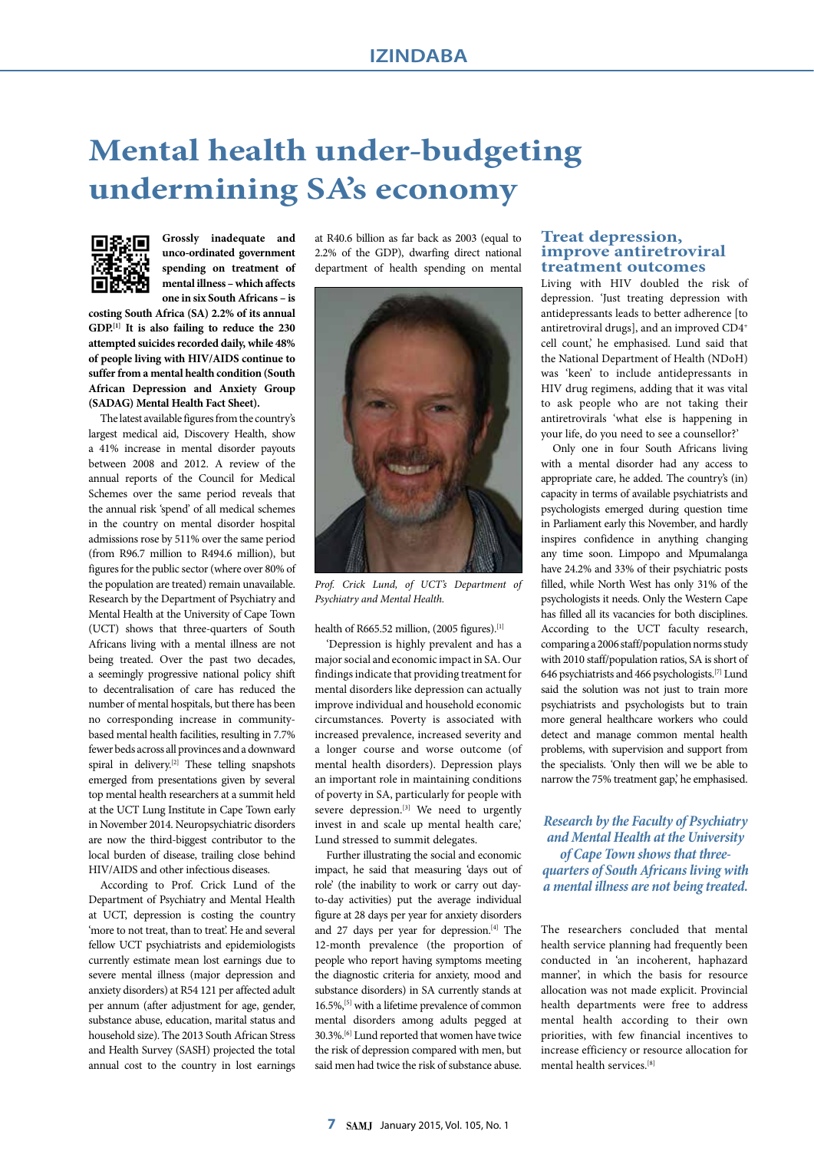## **Mental health under-budgeting undermining SA's economy**



**Grossly inadequate and unco-ordinated government spending on treatment of mental illness – which affects one in six South Africans – is** 

**costing South Africa (SA) 2.2% of its annual GDP.[1] It is also failing to reduce the 230 attempted suicides recorded daily, while 48% of people living with HIV/AIDS continue to suffer from a mental health condition (South African Depression and Anxiety Group (SADAG) Mental Health Fact Sheet).**

The latest available figures from the country's largest medical aid, Discovery Health, show a 41% increase in mental disorder payouts between 2008 and 2012. A review of the annual reports of the Council for Medical Schemes over the same period reveals that the annual risk 'spend' of all medical schemes in the country on mental disorder hospital admissions rose by 511% over the same period (from R96.7 million to R494.6 million), but figures for the public sector (where over 80% of the population are treated) remain unavailable. Research by the Department of Psychiatry and Mental Health at the University of Cape Town (UCT) shows that three-quarters of South Africans living with a mental illness are not being treated. Over the past two decades, a seemingly progressive national policy shift to decentralisation of care has reduced the number of mental hospitals, but there has been no corresponding increase in communitybased mental health facilities, resulting in 7.7% fewer beds across all provinces and a downward spiral in delivery.<sup>[2]</sup> These telling snapshots emerged from presentations given by several top mental health researchers at a summit held at the UCT Lung Institute in Cape Town early in November 2014. Neuropsychiatric disorders are now the third-biggest contributor to the local burden of disease, trailing close behind HIV/AIDS and other infectious diseases.

According to Prof. Crick Lund of the Department of Psychiatry and Mental Health at UCT, depression is costing the country 'more to not treat, than to treat'. He and several fellow UCT psychiatrists and epidemiologists currently estimate mean lost earnings due to severe mental illness (major depression and anxiety disorders) at R54 121 per affected adult per annum (after adjustment for age, gender, substance abuse, education, marital status and household size). The 2013 South African Stress and Health Survey (SASH) projected the total annual cost to the country in lost earnings at R40.6 billion as far back as 2003 (equal to 2.2% of the GDP), dwarfing direct national department of health spending on mental



*Prof. Crick Lund, of UCT's Department of Psychiatry and Mental Health.*

health of R665.52 million, (2005 figures).<sup>[1]</sup>

'Depression is highly prevalent and has a major social and economic impact in SA. Our findings indicate that providing treatment for mental disorders like depression can actually improve individual and household economic circumstances. Poverty is associated with increased prevalence, increased severity and a longer course and worse outcome (of mental health disorders). Depression plays an important role in maintaining conditions of poverty in SA, particularly for people with severe depression.<sup>[3]</sup> We need to urgently invest in and scale up mental health care,' Lund stressed to summit delegates.

Further illustrating the social and economic impact, he said that measuring 'days out of role' (the inability to work or carry out dayto-day activities) put the average individual figure at 28 days per year for anxiety disorders and 27 days per year for depression.<sup>[4]</sup> The 12-month prevalence (the proportion of people who report having symptoms meeting the diagnostic criteria for anxiety, mood and substance disorders) in SA currently stands at 16.5%,[5] with a lifetime prevalence of common mental disorders among adults pegged at 30.3%.[6] Lund reported that women have twice the risk of depression compared with men, but said men had twice the risk of substance abuse.

## **Treat depression, improve antiretroviral treatment outcomes**

Living with HIV doubled the risk of depression. 'Just treating depression with antidepressants leads to better adherence [to antiretroviral drugs], and an improved CD4+ cell count,' he emphasised. Lund said that the National Department of Health (NDoH) was 'keen' to include antidepressants in HIV drug regimens, adding that it was vital to ask people who are not taking their antiretrovirals 'what else is happening in your life, do you need to see a counsellor?'

Only one in four South Africans living with a mental disorder had any access to appropriate care, he added. The country's (in) capacity in terms of available psychiatrists and psychologists emerged during question time in Parliament early this November, and hardly inspires confidence in anything changing any time soon. Limpopo and Mpumalanga have 24.2% and 33% of their psychiatric posts filled, while North West has only 31% of the psychologists it needs. Only the Western Cape has filled all its vacancies for both disciplines. According to the UCT faculty research, comparing a 2006 staff/population norms study with 2010 staff/population ratios, SA is short of 646 psychiatrists and 466 psychologists.[7] Lund said the solution was not just to train more psychiatrists and psychologists but to train more general healthcare workers who could detect and manage common mental health problems, with supervision and support from the specialists. 'Only then will we be able to narrow the 75% treatment gap,' he emphasised.

*Research by the Faculty of Psychiatry and Mental Health at the University of Cape Town shows that threequarters of South Africans living with a mental illness are not being treated.*

The researchers concluded that mental health service planning had frequently been conducted in 'an incoherent, haphazard manner', in which the basis for resource allocation was not made explicit. Provincial health departments were free to address mental health according to their own priorities, with few financial incentives to increase efficiency or resource allocation for mental health services.[8]